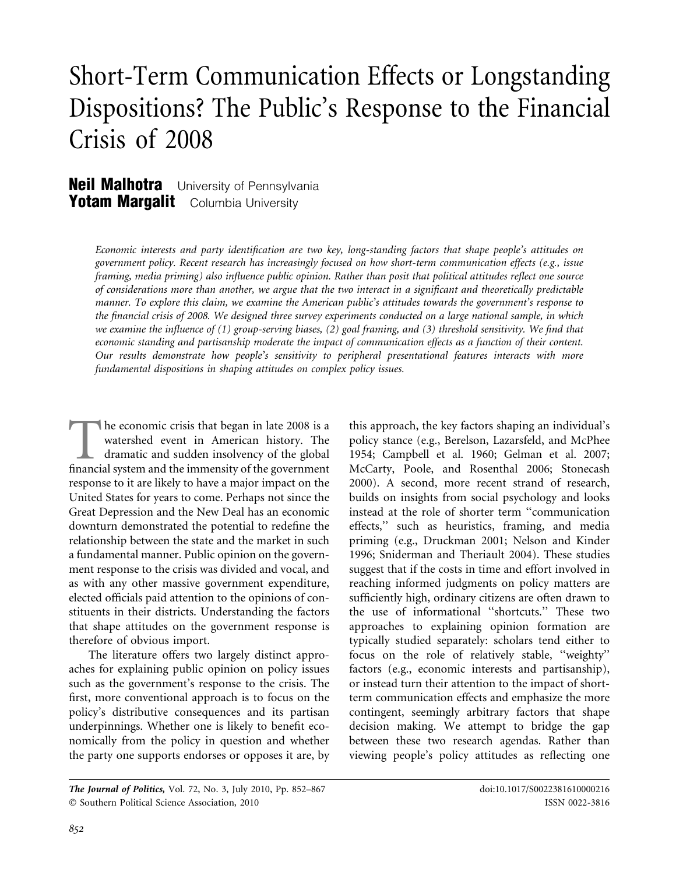# Short-Term Communication Effects or Longstanding Dispositions? The Public's Response to the Financial Crisis of 2008

# **Neil Malhotra** University of Pennsylvania Yotam Margalit Columbia University

Economic interests and party identification are two key, long-standing factors that shape people's attitudes on government policy. Recent research has increasingly focused on how short-term communication effects (e.g., issue framing, media priming) also influence public opinion. Rather than posit that political attitudes reflect one source of considerations more than another, we argue that the two interact in a significant and theoretically predictable manner. To explore this claim, we examine the American public's attitudes towards the government's response to the financial crisis of 2008. We designed three survey experiments conducted on a large national sample, in which we examine the influence of (1) group-serving biases, (2) goal framing, and (3) threshold sensitivity. We find that economic standing and partisanship moderate the impact of communication effects as a function of their content. Our results demonstrate how people's sensitivity to peripheral presentational features interacts with more fundamental dispositions in shaping attitudes on complex policy issues.

The economic crisis that began in late 2008 is a watershed event in American history. The dramatic and sudden insolvency of the global financial system and the immensity of the government watershed event in American history. The dramatic and sudden insolvency of the global response to it are likely to have a major impact on the United States for years to come. Perhaps not since the Great Depression and the New Deal has an economic downturn demonstrated the potential to redefine the relationship between the state and the market in such a fundamental manner. Public opinion on the government response to the crisis was divided and vocal, and as with any other massive government expenditure, elected officials paid attention to the opinions of constituents in their districts. Understanding the factors that shape attitudes on the government response is therefore of obvious import.

The literature offers two largely distinct approaches for explaining public opinion on policy issues such as the government's response to the crisis. The first, more conventional approach is to focus on the policy's distributive consequences and its partisan underpinnings. Whether one is likely to benefit economically from the policy in question and whether the party one supports endorses or opposes it are, by this approach, the key factors shaping an individual's policy stance (e.g., Berelson, Lazarsfeld, and McPhee 1954; Campbell et al. 1960; Gelman et al. 2007; McCarty, Poole, and Rosenthal 2006; Stonecash 2000). A second, more recent strand of research, builds on insights from social psychology and looks instead at the role of shorter term ''communication effects,'' such as heuristics, framing, and media priming (e.g., Druckman 2001; Nelson and Kinder 1996; Sniderman and Theriault 2004). These studies suggest that if the costs in time and effort involved in reaching informed judgments on policy matters are sufficiently high, ordinary citizens are often drawn to the use of informational ''shortcuts.'' These two approaches to explaining opinion formation are typically studied separately: scholars tend either to focus on the role of relatively stable, ''weighty'' factors (e.g., economic interests and partisanship), or instead turn their attention to the impact of shortterm communication effects and emphasize the more contingent, seemingly arbitrary factors that shape decision making. We attempt to bridge the gap between these two research agendas. Rather than viewing people's policy attitudes as reflecting one

The Journal of Politics, Vol. 72, No. 3, July 2010, Pp. 852–867 doi:10.1017/S0022381610000216 C Southern Political Science Association, 2010 **ISSN 0022-3816** ISSN 0022-3816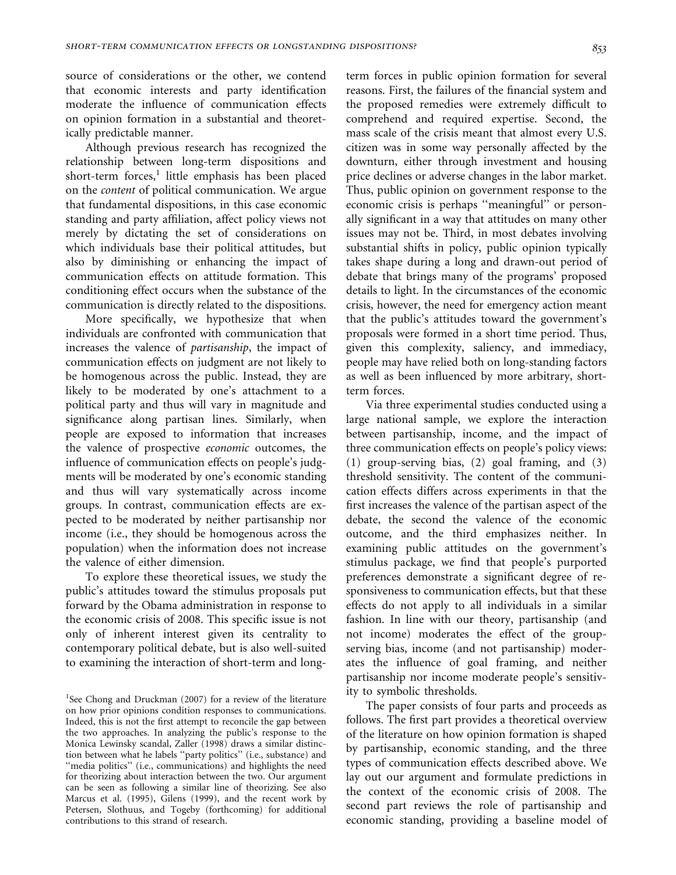source of considerations or the other, we contend that economic interests and party identification moderate the influence of communication effects on opinion formation in a substantial and theoretically predictable manner.

Although previous research has recognized the relationship between long-term dispositions and short-term forces,<sup>1</sup> little emphasis has been placed on the content of political communication. We argue that fundamental dispositions, in this case economic standing and party affiliation, affect policy views not merely by dictating the set of considerations on which individuals base their political attitudes, but also by diminishing or enhancing the impact of communication effects on attitude formation. This conditioning effect occurs when the substance of the communication is directly related to the dispositions.

More specifically, we hypothesize that when individuals are confronted with communication that increases the valence of partisanship, the impact of communication effects on judgment are not likely to be homogenous across the public. Instead, they are likely to be moderated by one's attachment to a political party and thus will vary in magnitude and significance along partisan lines. Similarly, when people are exposed to information that increases the valence of prospective economic outcomes, the influence of communication effects on people's judgments will be moderated by one's economic standing and thus will vary systematically across income groups. In contrast, communication effects are expected to be moderated by neither partisanship nor income (i.e., they should be homogenous across the population) when the information does not increase the valence of either dimension.

To explore these theoretical issues, we study the public's attitudes toward the stimulus proposals put forward by the Obama administration in response to the economic crisis of 2008. This specific issue is not only of inherent interest given its centrality to contemporary political debate, but is also well-suited to examining the interaction of short-term and long-

term forces in public opinion formation for several reasons. First, the failures of the financial system and the proposed remedies were extremely difficult to comprehend and required expertise. Second, the mass scale of the crisis meant that almost every U.S. citizen was in some way personally affected by the downturn, either through investment and housing price declines or adverse changes in the labor market. Thus, public opinion on government response to the economic crisis is perhaps ''meaningful'' or personally significant in a way that attitudes on many other issues may not be. Third, in most debates involving substantial shifts in policy, public opinion typically takes shape during a long and drawn-out period of debate that brings many of the programs' proposed details to light. In the circumstances of the economic crisis, however, the need for emergency action meant that the public's attitudes toward the government's proposals were formed in a short time period. Thus, given this complexity, saliency, and immediacy, people may have relied both on long-standing factors as well as been influenced by more arbitrary, shortterm forces.

Via three experimental studies conducted using a large national sample, we explore the interaction between partisanship, income, and the impact of three communication effects on people's policy views: (1) group-serving bias, (2) goal framing, and (3) threshold sensitivity. The content of the communication effects differs across experiments in that the first increases the valence of the partisan aspect of the debate, the second the valence of the economic outcome, and the third emphasizes neither. In examining public attitudes on the government's stimulus package, we find that people's purported preferences demonstrate a significant degree of responsiveness to communication effects, but that these effects do not apply to all individuals in a similar fashion. In line with our theory, partisanship (and not income) moderates the effect of the groupserving bias, income (and not partisanship) moderates the influence of goal framing, and neither partisanship nor income moderate people's sensitivity to symbolic thresholds.

The paper consists of four parts and proceeds as follows. The first part provides a theoretical overview of the literature on how opinion formation is shaped by partisanship, economic standing, and the three types of communication effects described above. We lay out our argument and formulate predictions in the context of the economic crisis of 2008. The second part reviews the role of partisanship and economic standing, providing a baseline model of

<sup>&</sup>lt;sup>1</sup>See Chong and Druckman (2007) for a review of the literature on how prior opinions condition responses to communications. Indeed, this is not the first attempt to reconcile the gap between the two approaches. In analyzing the public's response to the Monica Lewinsky scandal, Zaller (1998) draws a similar distinction between what he labels ''party politics'' (i.e., substance) and "media politics" (i.e., communications) and highlights the need for theorizing about interaction between the two. Our argument can be seen as following a similar line of theorizing. See also Marcus et al. (1995), Gilens (1999), and the recent work by Petersen, Slothuus, and Togeby (forthcoming) for additional contributions to this strand of research.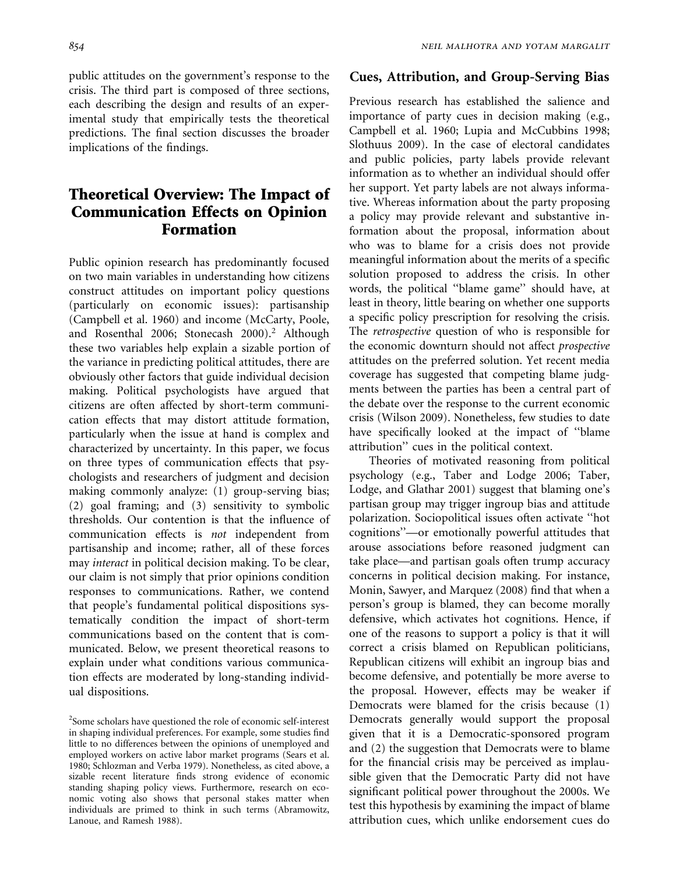public attitudes on the government's response to the crisis. The third part is composed of three sections, each describing the design and results of an experimental study that empirically tests the theoretical predictions. The final section discusses the broader implications of the findings.

# Theoretical Overview: The Impact of Communication Effects on Opinion Formation

Public opinion research has predominantly focused on two main variables in understanding how citizens construct attitudes on important policy questions (particularly on economic issues): partisanship (Campbell et al. 1960) and income (McCarty, Poole, and Rosenthal 2006; Stonecash 2000).<sup>2</sup> Although these two variables help explain a sizable portion of the variance in predicting political attitudes, there are obviously other factors that guide individual decision making. Political psychologists have argued that citizens are often affected by short-term communication effects that may distort attitude formation, particularly when the issue at hand is complex and characterized by uncertainty. In this paper, we focus on three types of communication effects that psychologists and researchers of judgment and decision making commonly analyze: (1) group-serving bias; (2) goal framing; and (3) sensitivity to symbolic thresholds. Our contention is that the influence of communication effects is not independent from partisanship and income; rather, all of these forces may interact in political decision making. To be clear, our claim is not simply that prior opinions condition responses to communications. Rather, we contend that people's fundamental political dispositions systematically condition the impact of short-term communications based on the content that is communicated. Below, we present theoretical reasons to explain under what conditions various communication effects are moderated by long-standing individual dispositions.

#### 854 neil malhotra and yotam margality in the Neil Malhotra and yotam margality in the SA  $\beta$

#### Cues, Attribution, and Group-Serving Bias

Previous research has established the salience and importance of party cues in decision making (e.g., Campbell et al. 1960; Lupia and McCubbins 1998; Slothuus 2009). In the case of electoral candidates and public policies, party labels provide relevant information as to whether an individual should offer her support. Yet party labels are not always informative. Whereas information about the party proposing a policy may provide relevant and substantive information about the proposal, information about who was to blame for a crisis does not provide meaningful information about the merits of a specific solution proposed to address the crisis. In other words, the political ''blame game'' should have, at least in theory, little bearing on whether one supports a specific policy prescription for resolving the crisis. The retrospective question of who is responsible for the economic downturn should not affect prospective attitudes on the preferred solution. Yet recent media coverage has suggested that competing blame judgments between the parties has been a central part of the debate over the response to the current economic crisis (Wilson 2009). Nonetheless, few studies to date have specifically looked at the impact of ''blame attribution'' cues in the political context.

Theories of motivated reasoning from political psychology (e.g., Taber and Lodge 2006; Taber, Lodge, and Glathar 2001) suggest that blaming one's partisan group may trigger ingroup bias and attitude polarization. Sociopolitical issues often activate ''hot cognitions''—or emotionally powerful attitudes that arouse associations before reasoned judgment can take place—and partisan goals often trump accuracy concerns in political decision making. For instance, Monin, Sawyer, and Marquez (2008) find that when a person's group is blamed, they can become morally defensive, which activates hot cognitions. Hence, if one of the reasons to support a policy is that it will correct a crisis blamed on Republican politicians, Republican citizens will exhibit an ingroup bias and become defensive, and potentially be more averse to the proposal. However, effects may be weaker if Democrats were blamed for the crisis because (1) Democrats generally would support the proposal given that it is a Democratic-sponsored program and (2) the suggestion that Democrats were to blame for the financial crisis may be perceived as implausible given that the Democratic Party did not have significant political power throughout the 2000s. We test this hypothesis by examining the impact of blame attribution cues, which unlike endorsement cues do

<sup>&</sup>lt;sup>2</sup>Some scholars have questioned the role of economic self-interest in shaping individual preferences. For example, some studies find little to no differences between the opinions of unemployed and employed workers on active labor market programs (Sears et al. 1980; Schlozman and Verba 1979). Nonetheless, as cited above, a sizable recent literature finds strong evidence of economic standing shaping policy views. Furthermore, research on economic voting also shows that personal stakes matter when individuals are primed to think in such terms (Abramowitz, Lanoue, and Ramesh 1988).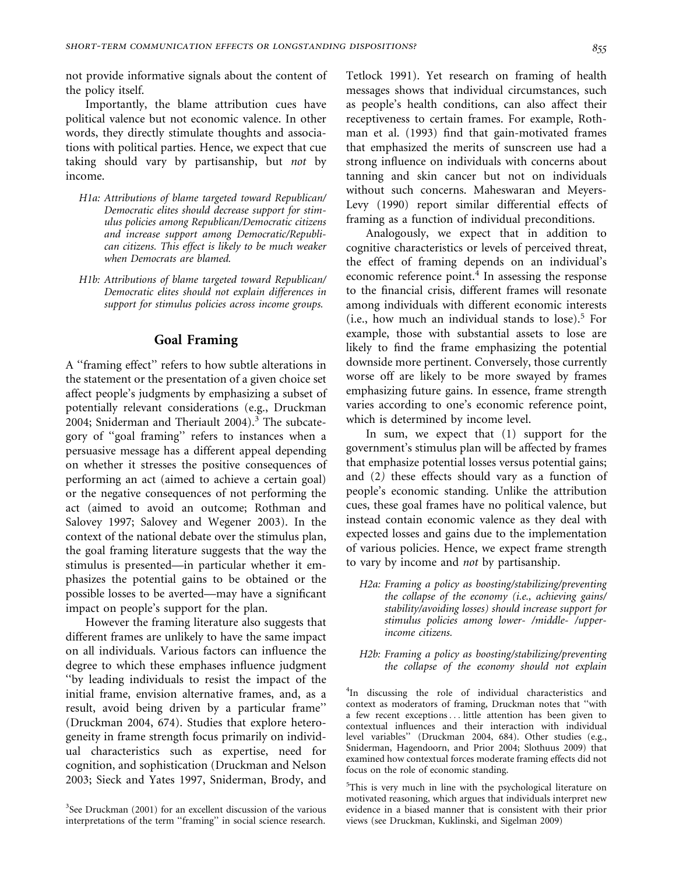not provide informative signals about the content of the policy itself.

Importantly, the blame attribution cues have political valence but not economic valence. In other words, they directly stimulate thoughts and associations with political parties. Hence, we expect that cue taking should vary by partisanship, but not by income.

- H1a: Attributions of blame targeted toward Republican/ Democratic elites should decrease support for stimulus policies among Republican/Democratic citizens and increase support among Democratic/Republican citizens. This effect is likely to be much weaker when Democrats are blamed.
- H1b: Attributions of blame targeted toward Republican/ Democratic elites should not explain differences in support for stimulus policies across income groups.

#### Goal Framing

A ''framing effect'' refers to how subtle alterations in the statement or the presentation of a given choice set affect people's judgments by emphasizing a subset of potentially relevant considerations (e.g., Druckman 2004; Sniderman and Theriault 2004).<sup>3</sup> The subcategory of ''goal framing'' refers to instances when a persuasive message has a different appeal depending on whether it stresses the positive consequences of performing an act (aimed to achieve a certain goal) or the negative consequences of not performing the act (aimed to avoid an outcome; Rothman and Salovey 1997; Salovey and Wegener 2003). In the context of the national debate over the stimulus plan, the goal framing literature suggests that the way the stimulus is presented—in particular whether it emphasizes the potential gains to be obtained or the possible losses to be averted—may have a significant impact on people's support for the plan.

However the framing literature also suggests that different frames are unlikely to have the same impact on all individuals. Various factors can influence the degree to which these emphases influence judgment ''by leading individuals to resist the impact of the initial frame, envision alternative frames, and, as a result, avoid being driven by a particular frame'' (Druckman 2004, 674). Studies that explore heterogeneity in frame strength focus primarily on individual characteristics such as expertise, need for cognition, and sophistication (Druckman and Nelson 2003; Sieck and Yates 1997, Sniderman, Brody, and

Tetlock 1991). Yet research on framing of health messages shows that individual circumstances, such as people's health conditions, can also affect their receptiveness to certain frames. For example, Rothman et al. (1993) find that gain-motivated frames that emphasized the merits of sunscreen use had a strong influence on individuals with concerns about tanning and skin cancer but not on individuals without such concerns. Maheswaran and Meyers-Levy (1990) report similar differential effects of framing as a function of individual preconditions.

Analogously, we expect that in addition to cognitive characteristics or levels of perceived threat, the effect of framing depends on an individual's economic reference point.<sup>4</sup> In assessing the response to the financial crisis, different frames will resonate among individuals with different economic interests (i.e., how much an individual stands to lose). $5$  For example, those with substantial assets to lose are likely to find the frame emphasizing the potential downside more pertinent. Conversely, those currently worse off are likely to be more swayed by frames emphasizing future gains. In essence, frame strength varies according to one's economic reference point, which is determined by income level.

In sum, we expect that (1) support for the government's stimulus plan will be affected by frames that emphasize potential losses versus potential gains; and (2) these effects should vary as a function of people's economic standing. Unlike the attribution cues, these goal frames have no political valence, but instead contain economic valence as they deal with expected losses and gains due to the implementation of various policies. Hence, we expect frame strength to vary by income and *not* by partisanship.

- H2a: Framing a policy as boosting/stabilizing/preventing the collapse of the economy (i.e., achieving gains/ stability/avoiding losses) should increase support for stimulus policies among lower- /middle- /upperincome citizens.
- H2b: Framing a policy as boosting/stabilizing/preventing the collapse of the economy should not explain

<sup>4</sup>In discussing the role of individual characteristics and context as moderators of framing, Druckman notes that ''with a few recent exceptions... little attention has been given to contextual influences and their interaction with individual level variables'' (Druckman 2004, 684). Other studies (e.g., Sniderman, Hagendoorn, and Prior 2004; Slothuus 2009) that examined how contextual forces moderate framing effects did not focus on the role of economic standing.

<sup>5</sup>This is very much in line with the psychological literature on motivated reasoning, which argues that individuals interpret new evidence in a biased manner that is consistent with their prior views (see Druckman, Kuklinski, and Sigelman 2009)

<sup>&</sup>lt;sup>3</sup>See Druckman (2001) for an excellent discussion of the various interpretations of the term ''framing'' in social science research.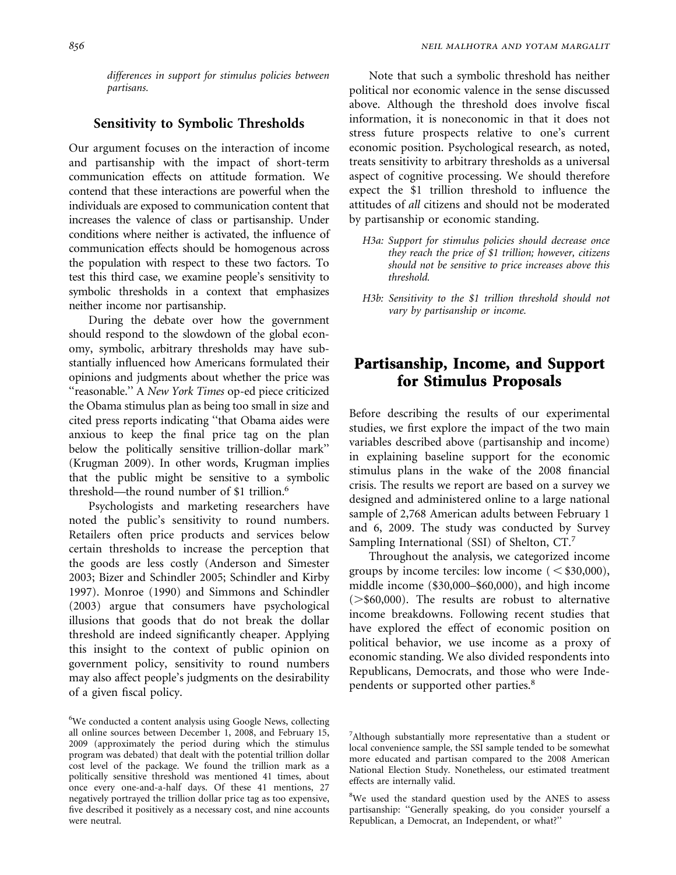differences in support for stimulus policies between partisans.

## Sensitivity to Symbolic Thresholds

Our argument focuses on the interaction of income and partisanship with the impact of short-term communication effects on attitude formation. We contend that these interactions are powerful when the individuals are exposed to communication content that increases the valence of class or partisanship. Under conditions where neither is activated, the influence of communication effects should be homogenous across the population with respect to these two factors. To test this third case, we examine people's sensitivity to symbolic thresholds in a context that emphasizes neither income nor partisanship.

During the debate over how the government should respond to the slowdown of the global economy, symbolic, arbitrary thresholds may have substantially influenced how Americans formulated their opinions and judgments about whether the price was "reasonable." A New York Times op-ed piece criticized the Obama stimulus plan as being too small in size and cited press reports indicating ''that Obama aides were anxious to keep the final price tag on the plan below the politically sensitive trillion-dollar mark'' (Krugman 2009). In other words, Krugman implies that the public might be sensitive to a symbolic threshold—the round number of \$1 trillion.<sup>6</sup>

Psychologists and marketing researchers have noted the public's sensitivity to round numbers. Retailers often price products and services below certain thresholds to increase the perception that the goods are less costly (Anderson and Simester 2003; Bizer and Schindler 2005; Schindler and Kirby 1997). Monroe (1990) and Simmons and Schindler (2003) argue that consumers have psychological illusions that goods that do not break the dollar threshold are indeed significantly cheaper. Applying this insight to the context of public opinion on government policy, sensitivity to round numbers may also affect people's judgments on the desirability of a given fiscal policy.

<sup>6</sup>We conducted a content analysis using Google News, collecting all online sources between December 1, 2008, and February 15, 2009 (approximately the period during which the stimulus program was debated) that dealt with the potential trillion dollar cost level of the package. We found the trillion mark as a politically sensitive threshold was mentioned 41 times, about once every one-and-a-half days. Of these 41 mentions, 27 negatively portrayed the trillion dollar price tag as too expensive, five described it positively as a necessary cost, and nine accounts were neutral.

Note that such a symbolic threshold has neither political nor economic valence in the sense discussed above. Although the threshold does involve fiscal information, it is noneconomic in that it does not stress future prospects relative to one's current economic position. Psychological research, as noted, treats sensitivity to arbitrary thresholds as a universal aspect of cognitive processing. We should therefore expect the \$1 trillion threshold to influence the attitudes of all citizens and should not be moderated by partisanship or economic standing.

- H3a: Support for stimulus policies should decrease once they reach the price of \$1 trillion; however, citizens should not be sensitive to price increases above this threshold.
- H3b: Sensitivity to the \$1 trillion threshold should not vary by partisanship or income.

## Partisanship, Income, and Support for Stimulus Proposals

Before describing the results of our experimental studies, we first explore the impact of the two main variables described above (partisanship and income) in explaining baseline support for the economic stimulus plans in the wake of the 2008 financial crisis. The results we report are based on a survey we designed and administered online to a large national sample of 2,768 American adults between February 1 and 6, 2009. The study was conducted by Survey Sampling International (SSI) of Shelton, CT.<sup>7</sup>

Throughout the analysis, we categorized income groups by income terciles: low income  $(<$  \$30,000), middle income (\$30,000–\$60,000), and high income  $($  > \$60,000). The results are robust to alternative income breakdowns. Following recent studies that have explored the effect of economic position on political behavior, we use income as a proxy of economic standing. We also divided respondents into Republicans, Democrats, and those who were Independents or supported other parties.8

<sup>&</sup>lt;sup>7</sup>Although substantially more representative than a student or local convenience sample, the SSI sample tended to be somewhat more educated and partisan compared to the 2008 American National Election Study. Nonetheless, our estimated treatment effects are internally valid.

<sup>&</sup>lt;sup>8</sup>We used the standard question used by the ANES to assess partisanship: ''Generally speaking, do you consider yourself a Republican, a Democrat, an Independent, or what?''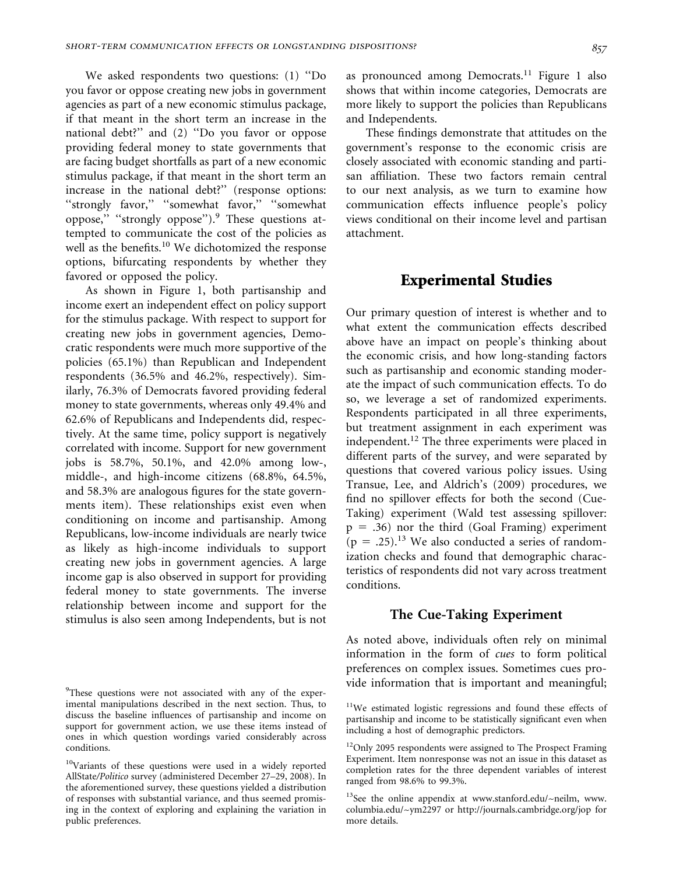We asked respondents two questions: (1) ''Do you favor or oppose creating new jobs in government agencies as part of a new economic stimulus package, if that meant in the short term an increase in the national debt?'' and (2) ''Do you favor or oppose providing federal money to state governments that are facing budget shortfalls as part of a new economic stimulus package, if that meant in the short term an increase in the national debt?'' (response options: ''strongly favor,'' ''somewhat favor,'' ''somewhat oppose,'' ''strongly oppose'').<sup>9</sup> These questions attempted to communicate the cost of the policies as well as the benefits.<sup>10</sup> We dichotomized the response options, bifurcating respondents by whether they favored or opposed the policy.

As shown in Figure 1, both partisanship and income exert an independent effect on policy support for the stimulus package. With respect to support for creating new jobs in government agencies, Democratic respondents were much more supportive of the policies (65.1%) than Republican and Independent respondents (36.5% and 46.2%, respectively). Similarly, 76.3% of Democrats favored providing federal money to state governments, whereas only 49.4% and 62.6% of Republicans and Independents did, respectively. At the same time, policy support is negatively correlated with income. Support for new government jobs is 58.7%, 50.1%, and 42.0% among low-, middle-, and high-income citizens (68.8%, 64.5%, and 58.3% are analogous figures for the state governments item). These relationships exist even when conditioning on income and partisanship. Among Republicans, low-income individuals are nearly twice as likely as high-income individuals to support creating new jobs in government agencies. A large income gap is also observed in support for providing federal money to state governments. The inverse relationship between income and support for the stimulus is also seen among Independents, but is not as pronounced among Democrats.<sup>11</sup> Figure 1 also shows that within income categories, Democrats are more likely to support the policies than Republicans and Independents.

These findings demonstrate that attitudes on the government's response to the economic crisis are closely associated with economic standing and partisan affiliation. These two factors remain central to our next analysis, as we turn to examine how communication effects influence people's policy views conditional on their income level and partisan attachment.

## Experimental Studies

Our primary question of interest is whether and to what extent the communication effects described above have an impact on people's thinking about the economic crisis, and how long-standing factors such as partisanship and economic standing moderate the impact of such communication effects. To do so, we leverage a set of randomized experiments. Respondents participated in all three experiments, but treatment assignment in each experiment was independent.<sup>12</sup> The three experiments were placed in different parts of the survey, and were separated by questions that covered various policy issues. Using Transue, Lee, and Aldrich's (2009) procedures, we find no spillover effects for both the second (Cue-Taking) experiment (Wald test assessing spillover:  $p = .36$ ) nor the third (Goal Framing) experiment  $(p = .25).$ <sup>13</sup> We also conducted a series of randomization checks and found that demographic characteristics of respondents did not vary across treatment conditions.

### The Cue-Taking Experiment

As noted above, individuals often rely on minimal information in the form of cues to form political preferences on complex issues. Sometimes cues provide information that is important and meaningful;

<sup>&</sup>lt;sup>9</sup>These questions were not associated with any of the experimental manipulations described in the next section. Thus, to discuss the baseline influences of partisanship and income on support for government action, we use these items instead of ones in which question wordings varied considerably across conditions.

<sup>&</sup>lt;sup>10</sup>Variants of these questions were used in a widely reported AllState/Politico survey (administered December 27–29, 2008). In the aforementioned survey, these questions yielded a distribution of responses with substantial variance, and thus seemed promising in the context of exploring and explaining the variation in public preferences.

<sup>&</sup>lt;sup>11</sup>We estimated logistic regressions and found these effects of partisanship and income to be statistically significant even when including a host of demographic predictors.

<sup>&</sup>lt;sup>12</sup>Only 2095 respondents were assigned to The Prospect Framing Experiment. Item nonresponse was not an issue in this dataset as completion rates for the three dependent variables of interest ranged from 98.6% to 99.3%.

 $13$ See the online appendix at www.stanford.edu/~neilm, www. columbia.edu/~ym2297 or http://journals.cambridge.org/jop for more details.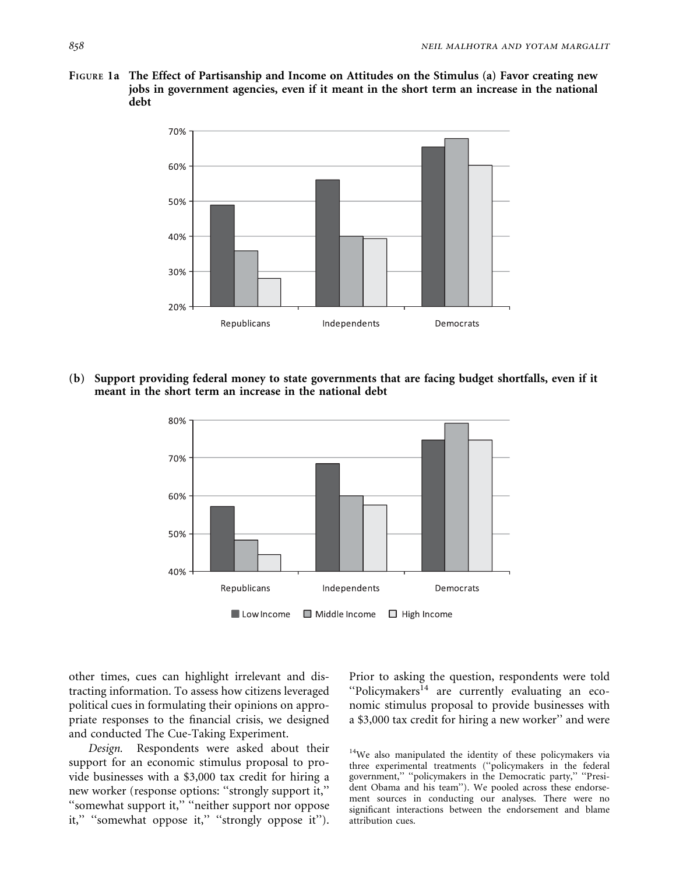FIGURE 1a The Effect of Partisanship and Income on Attitudes on the Stimulus (a) Favor creating new jobs in government agencies, even if it meant in the short term an increase in the national debt



(b) Support providing federal money to state governments that are facing budget shortfalls, even if it meant in the short term an increase in the national debt



other times, cues can highlight irrelevant and distracting information. To assess how citizens leveraged political cues in formulating their opinions on appropriate responses to the financial crisis, we designed and conducted The Cue-Taking Experiment.

Design. Respondents were asked about their support for an economic stimulus proposal to provide businesses with a \$3,000 tax credit for hiring a new worker (response options: ''strongly support it,'' ''somewhat support it,'' ''neither support nor oppose it," "somewhat oppose it," "strongly oppose it"). Prior to asking the question, respondents were told  $"Policymakers<sup>14</sup> are currently evaluating an eco$ nomic stimulus proposal to provide businesses with a \$3,000 tax credit for hiring a new worker'' and were

<sup>14</sup>We also manipulated the identity of these policymakers via three experimental treatments (''policymakers in the federal government,'' ''policymakers in the Democratic party,'' ''President Obama and his team''). We pooled across these endorsement sources in conducting our analyses. There were no significant interactions between the endorsement and blame attribution cues.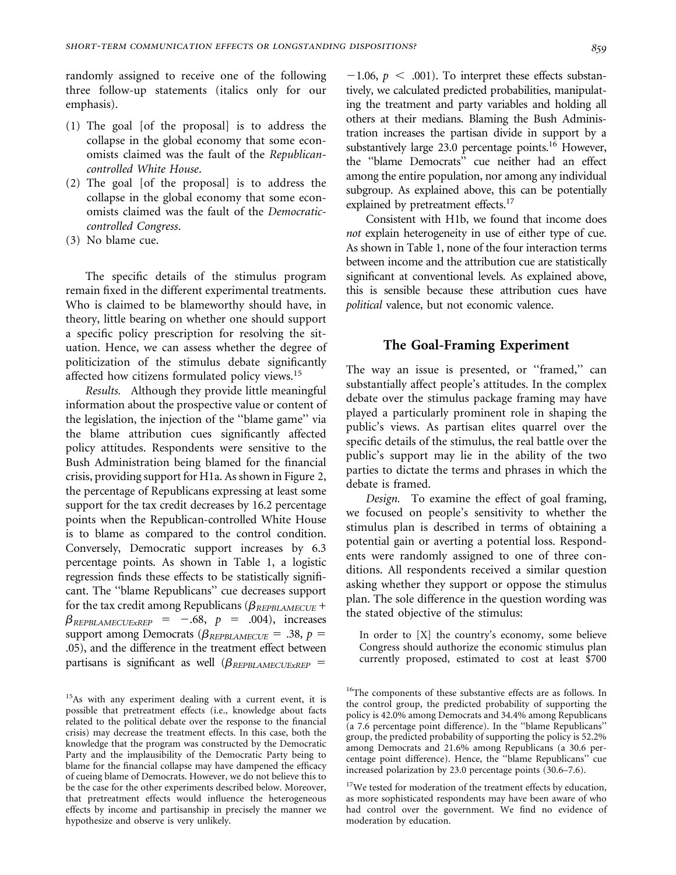randomly assigned to receive one of the following three follow-up statements (italics only for our emphasis).

- (1) The goal [of the proposal] is to address the collapse in the global economy that some economists claimed was the fault of the Republicancontrolled White House.
- (2) The goal [of the proposal] is to address the collapse in the global economy that some economists claimed was the fault of the Democraticcontrolled Congress.
- (3) No blame cue.

The specific details of the stimulus program remain fixed in the different experimental treatments. Who is claimed to be blameworthy should have, in theory, little bearing on whether one should support a specific policy prescription for resolving the situation. Hence, we can assess whether the degree of politicization of the stimulus debate significantly affected how citizens formulated policy views.<sup>15</sup>

Results. Although they provide little meaningful information about the prospective value or content of the legislation, the injection of the ''blame game'' via the blame attribution cues significantly affected policy attitudes. Respondents were sensitive to the Bush Administration being blamed for the financial crisis, providing support for H1a. As shown in Figure 2, the percentage of Republicans expressing at least some support for the tax credit decreases by 16.2 percentage points when the Republican-controlled White House is to blame as compared to the control condition. Conversely, Democratic support increases by 6.3 percentage points. As shown in Table 1, a logistic regression finds these effects to be statistically significant. The ''blame Republicans'' cue decreases support for the tax credit among Republicans ( $\beta_{REPBLAMECUE}$  +  $\beta_{REPBLAMECUExREP}$  = -.68, p = .004), increases support among Democrats ( $\beta_{REPBLAMECUE} = .38$ ,  $p =$ .05), and the difference in the treatment effect between partisans is significant as well ( $\beta_{REPBLAMECUExREP}$  =

 $-1.06$ ,  $p < .001$ ). To interpret these effects substantively, we calculated predicted probabilities, manipulating the treatment and party variables and holding all others at their medians. Blaming the Bush Administration increases the partisan divide in support by a substantively large  $23.0$  percentage points.<sup>16</sup> However, the ''blame Democrats'' cue neither had an effect among the entire population, nor among any individual subgroup. As explained above, this can be potentially explained by pretreatment effects.<sup>17</sup>

Consistent with H1b, we found that income does not explain heterogeneity in use of either type of cue. As shown in Table 1, none of the four interaction terms between income and the attribution cue are statistically significant at conventional levels. As explained above, this is sensible because these attribution cues have political valence, but not economic valence.

### The Goal-Framing Experiment

The way an issue is presented, or "framed," can substantially affect people's attitudes. In the complex debate over the stimulus package framing may have played a particularly prominent role in shaping the public's views. As partisan elites quarrel over the specific details of the stimulus, the real battle over the public's support may lie in the ability of the two parties to dictate the terms and phrases in which the debate is framed.

Design. To examine the effect of goal framing, we focused on people's sensitivity to whether the stimulus plan is described in terms of obtaining a potential gain or averting a potential loss. Respondents were randomly assigned to one of three conditions. All respondents received a similar question asking whether they support or oppose the stimulus plan. The sole difference in the question wording was the stated objective of the stimulus:

In order to  $[X]$  the country's economy, some believe Congress should authorize the economic stimulus plan currently proposed, estimated to cost at least \$700

<sup>&</sup>lt;sup>15</sup>As with any experiment dealing with a current event, it is possible that pretreatment effects (i.e., knowledge about facts related to the political debate over the response to the financial crisis) may decrease the treatment effects. In this case, both the knowledge that the program was constructed by the Democratic Party and the implausibility of the Democratic Party being to blame for the financial collapse may have dampened the efficacy of cueing blame of Democrats. However, we do not believe this to be the case for the other experiments described below. Moreover, that pretreatment effects would influence the heterogeneous effects by income and partisanship in precisely the manner we hypothesize and observe is very unlikely.

<sup>&</sup>lt;sup>16</sup>The components of these substantive effects are as follows. In the control group, the predicted probability of supporting the policy is 42.0% among Democrats and 34.4% among Republicans (a 7.6 percentage point difference). In the ''blame Republicans'' group, the predicted probability of supporting the policy is 52.2% among Democrats and 21.6% among Republicans (a 30.6 percentage point difference). Hence, the ''blame Republicans'' cue increased polarization by 23.0 percentage points (30.6–7.6).

 $17$ We tested for moderation of the treatment effects by education, as more sophisticated respondents may have been aware of who had control over the government. We find no evidence of moderation by education.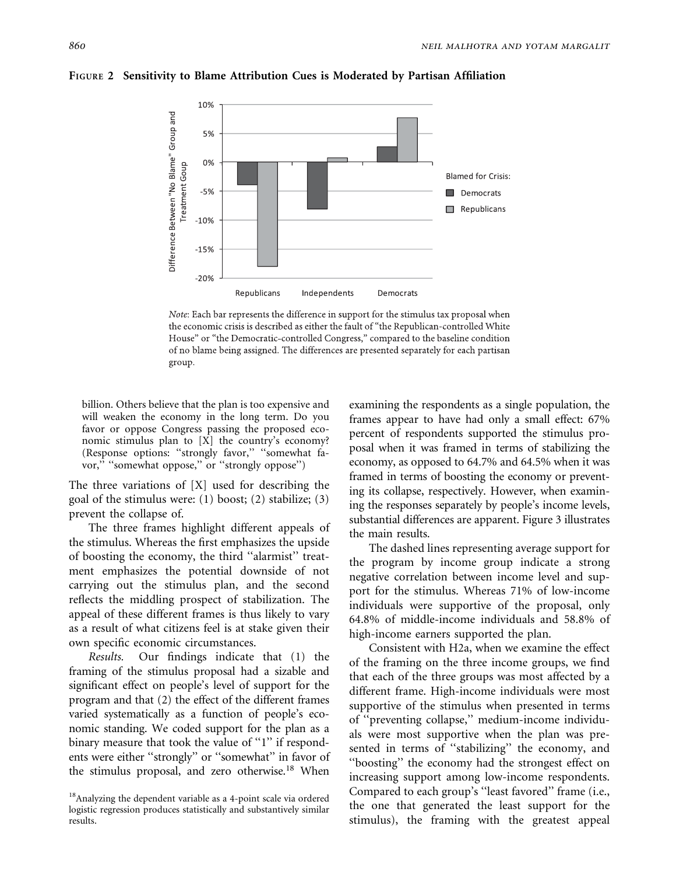

FIGURE 2 Sensitivity to Blame Attribution Cues is Moderated by Partisan Affiliation

Note: Each bar represents the difference in support for the stimulus tax proposal when the economic crisis is described as either the fault of "the Republican-controlled White House" or "the Democratic-controlled Congress," compared to the baseline condition of no blame being assigned. The differences are presented separately for each partisan group.

billion. Others believe that the plan is too expensive and will weaken the economy in the long term. Do you favor or oppose Congress passing the proposed economic stimulus plan to [X] the country's economy? (Response options: "strongly favor," "somewhat favor," "somewhat oppose," or "strongly oppose")

The three variations of [X] used for describing the goal of the stimulus were: (1) boost; (2) stabilize; (3) prevent the collapse of.

The three frames highlight different appeals of the stimulus. Whereas the first emphasizes the upside of boosting the economy, the third ''alarmist'' treatment emphasizes the potential downside of not carrying out the stimulus plan, and the second reflects the middling prospect of stabilization. The appeal of these different frames is thus likely to vary as a result of what citizens feel is at stake given their own specific economic circumstances.

Results. Our findings indicate that (1) the framing of the stimulus proposal had a sizable and significant effect on people's level of support for the program and that (2) the effect of the different frames varied systematically as a function of people's economic standing. We coded support for the plan as a binary measure that took the value of "1" if respondents were either ''strongly'' or ''somewhat'' in favor of the stimulus proposal, and zero otherwise.<sup>18</sup> When

examining the respondents as a single population, the frames appear to have had only a small effect: 67% percent of respondents supported the stimulus proposal when it was framed in terms of stabilizing the economy, as opposed to 64.7% and 64.5% when it was framed in terms of boosting the economy or preventing its collapse, respectively. However, when examining the responses separately by people's income levels, substantial differences are apparent. Figure 3 illustrates the main results.

The dashed lines representing average support for the program by income group indicate a strong negative correlation between income level and support for the stimulus. Whereas 71% of low-income individuals were supportive of the proposal, only 64.8% of middle-income individuals and 58.8% of high-income earners supported the plan.

Consistent with H2a, when we examine the effect of the framing on the three income groups, we find that each of the three groups was most affected by a different frame. High-income individuals were most supportive of the stimulus when presented in terms of ''preventing collapse,'' medium-income individuals were most supportive when the plan was presented in terms of ''stabilizing'' the economy, and ''boosting'' the economy had the strongest effect on increasing support among low-income respondents. Compared to each group's ''least favored'' frame (i.e., the one that generated the least support for the stimulus), the framing with the greatest appeal

<sup>&</sup>lt;sup>18</sup> Analyzing the dependent variable as a 4-point scale via ordered logistic regression produces statistically and substantively similar results.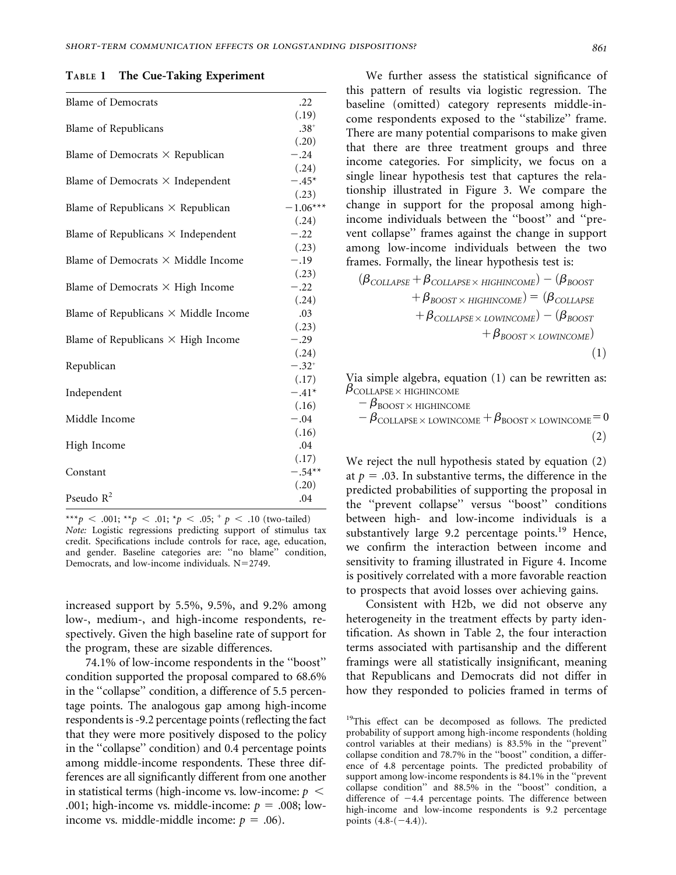TABLE 1 The Cue-Taking Experiment

| <b>Blame of Democrats</b>                   | .22                 |
|---------------------------------------------|---------------------|
|                                             | (.19)               |
| Blame of Republicans                        | $.38^{+}$           |
|                                             | (.20)               |
| Blame of Democrats $\times$ Republican      | $-.24$              |
|                                             | (.24)               |
| Blame of Democrats $\times$ Independent     | $-.45*$             |
|                                             | (.23)               |
| Blame of Republicans $\times$ Republican    | $-1.06***$          |
|                                             | (.24)               |
| Blame of Republicans $\times$ Independent   | $-.22$              |
|                                             | (.23)               |
| Blame of Democrats $\times$ Middle Income   | $-.19$              |
|                                             | (.23)               |
| Blame of Democrats $\times$ High Income     | $-.22$              |
|                                             | (.24)               |
| Blame of Republicans $\times$ Middle Income | .03                 |
|                                             | (.23)               |
| Blame of Republicans $\times$ High Income   | $-.29$              |
|                                             | (.24)               |
| Republican                                  | $-.32$ <sup>+</sup> |
|                                             | (.17)               |
| Independent                                 | $-.41*$             |
|                                             | (.16)               |
| Middle Income                               | $-.04$              |
|                                             | (.16)               |
| High Income                                 | .04                 |
|                                             | (.17)               |
| Constant                                    | $-.54**$            |
|                                             | (.20)               |
| Pseudo $R^2$                                | .04                 |
|                                             |                     |

\*\*\*p < .001; \*\*p < .01; \*p < .05; + p < .10 (two-tailed) Note: Logistic regressions predicting support of stimulus tax credit. Specifications include controls for race, age, education, and gender. Baseline categories are: ''no blame'' condition, Democrats, and low-income individuals. N=2749.

increased support by 5.5%, 9.5%, and 9.2% among low-, medium-, and high-income respondents, respectively. Given the high baseline rate of support for the program, these are sizable differences.

74.1% of low-income respondents in the ''boost'' condition supported the proposal compared to 68.6% in the "collapse" condition, a difference of 5.5 percentage points. The analogous gap among high-income respondents is -9.2 percentage points (reflecting the fact that they were more positively disposed to the policy in the ''collapse'' condition) and 0.4 percentage points among middle-income respondents. These three differences are all significantly different from one another in statistical terms (high-income vs. low-income:  $p <$ .001; high-income vs. middle-income:  $p = .008$ ; lowincome vs. middle-middle income:  $p = .06$ ).

We further assess the statistical significance of this pattern of results via logistic regression. The baseline (omitted) category represents middle-income respondents exposed to the ''stabilize'' frame. There are many potential comparisons to make given that there are three treatment groups and three income categories. For simplicity, we focus on a single linear hypothesis test that captures the relationship illustrated in Figure 3. We compare the change in support for the proposal among highincome individuals between the ''boost'' and ''prevent collapse'' frames against the change in support among low-income individuals between the two frames. Formally, the linear hypothesis test is:

$$
(\beta_{COLLapse} + \beta_{COLLapse \times HIGHINCOME}) - (\beta_{BOOST} + \beta_{BOOST \times HIGHINCOME}) = (\beta_{COLLapse} + \beta_{COLLapse \times LOWINCOME}) - (\beta_{BOOST} + \beta_{BOOST \times LOWINCOME})
$$
\n(1)

Via simple algebra, equation (1) can be rewritten as:  $\beta_{\text{COLLAPSE}} \times \text{HIGHINCOME}$ 

—  $\beta_{\text{BOOST}} \times \text{HIGHINCOME}$  $-\beta_{\rm COLLapse}$ x lowincome  $+\beta_{\rm BOOST}$ x lowincome  $=0$  $(2)$ 

We reject the null hypothesis stated by equation (2) at  $p = .03$ . In substantive terms, the difference in the predicted probabilities of supporting the proposal in the ''prevent collapse'' versus ''boost'' conditions between high- and low-income individuals is a substantively large 9.2 percentage points.<sup>19</sup> Hence, we confirm the interaction between income and sensitivity to framing illustrated in Figure 4. Income is positively correlated with a more favorable reaction to prospects that avoid losses over achieving gains.

Consistent with H2b, we did not observe any heterogeneity in the treatment effects by party identification. As shown in Table 2, the four interaction terms associated with partisanship and the different framings were all statistically insignificant, meaning that Republicans and Democrats did not differ in how they responded to policies framed in terms of

<sup>&</sup>lt;sup>19</sup>This effect can be decomposed as follows. The predicted probability of support among high-income respondents (holding control variables at their medians) is 83.5% in the ''prevent'' collapse condition and 78.7% in the ''boost'' condition, a difference of 4.8 percentage points. The predicted probability of support among low-income respondents is 84.1% in the ''prevent collapse condition'' and 88.5% in the ''boost'' condition, a difference of  $-4.4$  percentage points. The difference between high-income and low-income respondents is 9.2 percentage points  $(4.8-(-4.4))$ .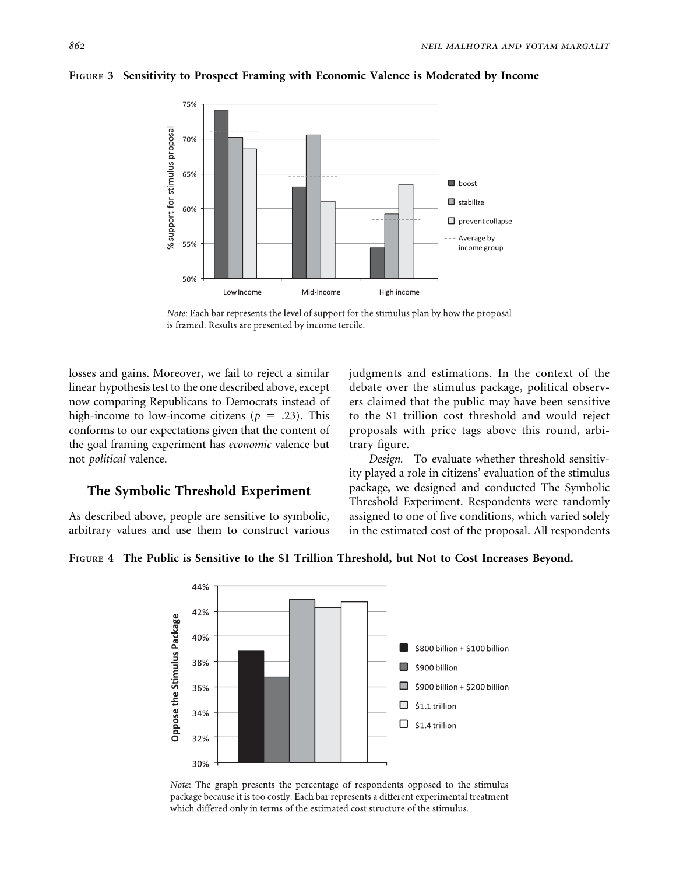

FIGURE 3 Sensitivity to Prospect Framing with Economic Valence is Moderated by Income

Note: Each bar represents the level of support for the stimulus plan by how the proposal is framed. Results are presented by income tercile.

losses and gains. Moreover, we fail to reject a similar linear hypothesis test to the one described above, except now comparing Republicans to Democrats instead of high-income to low-income citizens ( $p = .23$ ). This conforms to our expectations given that the content of the goal framing experiment has economic valence but not political valence.

#### The Symbolic Threshold Experiment

As described above, people are sensitive to symbolic, arbitrary values and use them to construct various judgments and estimations. In the context of the debate over the stimulus package, political observers claimed that the public may have been sensitive to the \$1 trillion cost threshold and would reject proposals with price tags above this round, arbitrary figure.

Design. To evaluate whether threshold sensitivity played a role in citizens' evaluation of the stimulus package, we designed and conducted The Symbolic Threshold Experiment. Respondents were randomly assigned to one of five conditions, which varied solely in the estimated cost of the proposal. All respondents

FIGURE 4 The Public is Sensitive to the \$1 Trillion Threshold, but Not to Cost Increases Beyond.



Note: The graph presents the percentage of respondents opposed to the stimulus package because it is too costly. Each bar represents a different experimental treatment which differed only in terms of the estimated cost structure of the stimulus.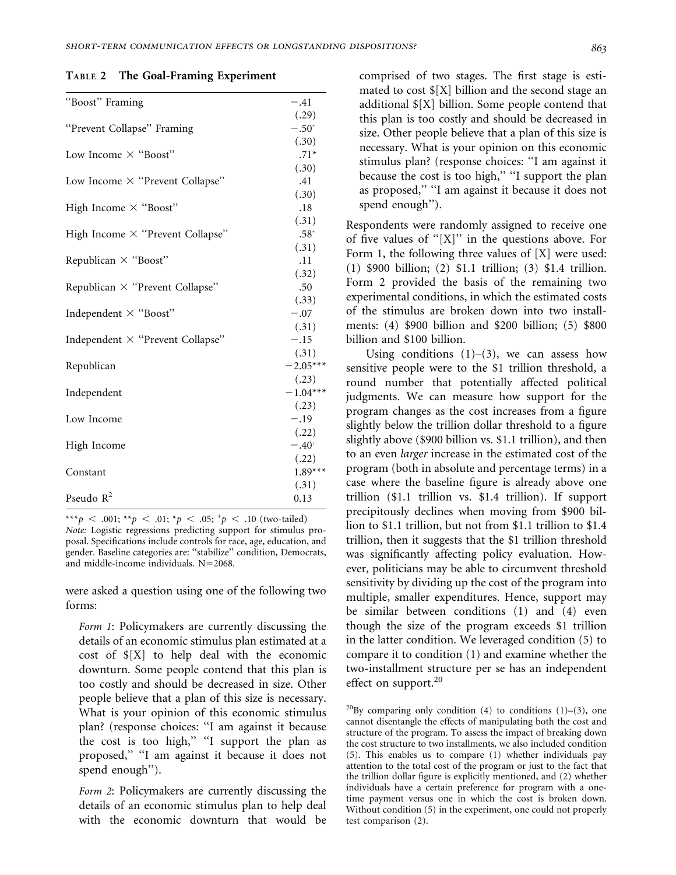TABLE 2 The Goal-Framing Experiment

| "Boost" Framing                        | $-.41$         |
|----------------------------------------|----------------|
|                                        | (.29)          |
| "Prevent Collapse" Framing             | $-.50^{\circ}$ |
|                                        | (.30)          |
| Low Income $\times$ "Boost"            | $.71*$         |
|                                        | (.30)          |
| Low Income × "Prevent Collapse"        | .41            |
|                                        | (.30)          |
| High Income $\times$ "Boost"           | .18            |
|                                        | (.31)          |
| High Income × "Prevent Collapse"       | $.58^{+}$      |
|                                        | (.31)          |
| Republican $\times$ "Boost"            | .11            |
|                                        | (.32)          |
| Republican $\times$ "Prevent Collapse" | .50            |
|                                        | (.33)          |
| Independent $\times$ "Boost"           | $-.07$         |
|                                        | (.31)          |
| Independent × "Prevent Collapse"       | $-.15$         |
|                                        | (.31)          |
| Republican                             | $-2.05***$     |
|                                        | (.23)          |
| Independent                            | $-1.04***$     |
|                                        | (.23)          |
| Low Income                             | $-.19$         |
|                                        | (.22)          |
| High Income                            | $-.40^{\circ}$ |
|                                        | (.22)          |
| Constant                               | $1.89***$      |
|                                        | (.31)          |
| Pseudo $R^2$                           | 0.13           |

\*\*\*p < .001; \*\*p < .01; \*p < .05;  $^{\dagger}p$  < .10 (two-tailed) Note: Logistic regressions predicting support for stimulus proposal. Specifications include controls for race, age, education, and gender. Baseline categories are: ''stabilize'' condition, Democrats, and middle-income individuals.  $N=2068$ .

were asked a question using one of the following two forms:

Form 1: Policymakers are currently discussing the details of an economic stimulus plan estimated at a cost of \$[X] to help deal with the economic downturn. Some people contend that this plan is too costly and should be decreased in size. Other people believe that a plan of this size is necessary. What is your opinion of this economic stimulus plan? (response choices: ''I am against it because the cost is too high,'' ''I support the plan as proposed,'' ''I am against it because it does not spend enough'').

Form 2: Policymakers are currently discussing the details of an economic stimulus plan to help deal with the economic downturn that would be

comprised of two stages. The first stage is estimated to cost  $[X]$  billion and the second stage an additional \$[X] billion. Some people contend that this plan is too costly and should be decreased in size. Other people believe that a plan of this size is necessary. What is your opinion on this economic stimulus plan? (response choices: ''I am against it because the cost is too high,'' ''I support the plan as proposed,'' ''I am against it because it does not spend enough'').

Respondents were randomly assigned to receive one of five values of " $[X]$ " in the questions above. For Form 1, the following three values of [X] were used: (1) \$900 billion; (2) \$1.1 trillion; (3) \$1.4 trillion. Form 2 provided the basis of the remaining two experimental conditions, in which the estimated costs of the stimulus are broken down into two installments: (4) \$900 billion and \$200 billion; (5) \$800 billion and \$100 billion.

Using conditions  $(1)$ – $(3)$ , we can assess how sensitive people were to the \$1 trillion threshold, a round number that potentially affected political judgments. We can measure how support for the program changes as the cost increases from a figure slightly below the trillion dollar threshold to a figure slightly above (\$900 billion vs. \$1.1 trillion), and then to an even larger increase in the estimated cost of the program (both in absolute and percentage terms) in a case where the baseline figure is already above one trillion (\$1.1 trillion vs. \$1.4 trillion). If support precipitously declines when moving from \$900 billion to \$1.1 trillion, but not from \$1.1 trillion to \$1.4 trillion, then it suggests that the \$1 trillion threshold was significantly affecting policy evaluation. However, politicians may be able to circumvent threshold sensitivity by dividing up the cost of the program into multiple, smaller expenditures. Hence, support may be similar between conditions (1) and (4) even though the size of the program exceeds \$1 trillion in the latter condition. We leveraged condition (5) to compare it to condition (1) and examine whether the two-installment structure per se has an independent effect on support. $20$ 

 $^{20}$ By comparing only condition (4) to conditions (1)–(3), one cannot disentangle the effects of manipulating both the cost and structure of the program. To assess the impact of breaking down the cost structure to two installments, we also included condition (5). This enables us to compare (1) whether individuals pay attention to the total cost of the program or just to the fact that the trillion dollar figure is explicitly mentioned, and (2) whether individuals have a certain preference for program with a onetime payment versus one in which the cost is broken down. Without condition (5) in the experiment, one could not properly test comparison (2).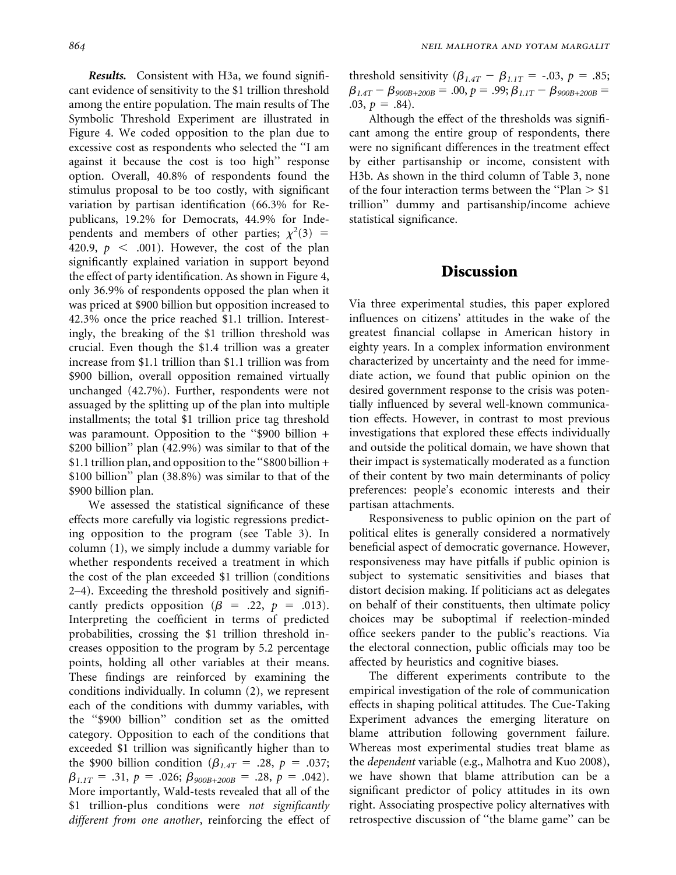Results. Consistent with H3a, we found significant evidence of sensitivity to the \$1 trillion threshold among the entire population. The main results of The Symbolic Threshold Experiment are illustrated in Figure 4. We coded opposition to the plan due to excessive cost as respondents who selected the ''I am against it because the cost is too high'' response option. Overall, 40.8% of respondents found the stimulus proposal to be too costly, with significant variation by partisan identification (66.3% for Republicans, 19.2% for Democrats, 44.9% for Independents and members of other parties;  $\chi^2(3)$  = 420.9,  $p \leq .001$ ). However, the cost of the plan significantly explained variation in support beyond the effect of party identification. As shown in Figure 4, only 36.9% of respondents opposed the plan when it was priced at \$900 billion but opposition increased to 42.3% once the price reached \$1.1 trillion. Interestingly, the breaking of the \$1 trillion threshold was crucial. Even though the \$1.4 trillion was a greater increase from \$1.1 trillion than \$1.1 trillion was from \$900 billion, overall opposition remained virtually unchanged (42.7%). Further, respondents were not assuaged by the splitting up of the plan into multiple installments; the total \$1 trillion price tag threshold was paramount. Opposition to the ''\$900 billion + \$200 billion'' plan (42.9%) was similar to that of the \$1.1 trillion plan, and opposition to the ''\$800 billion + \$100 billion'' plan (38.8%) was similar to that of the \$900 billion plan.

We assessed the statistical significance of these effects more carefully via logistic regressions predicting opposition to the program (see Table 3). In column (1), we simply include a dummy variable for whether respondents received a treatment in which the cost of the plan exceeded \$1 trillion (conditions 2–4). Exceeding the threshold positively and significantly predicts opposition ( $\beta$  = .22,  $p$  = .013). Interpreting the coefficient in terms of predicted probabilities, crossing the \$1 trillion threshold increases opposition to the program by 5.2 percentage points, holding all other variables at their means. These findings are reinforced by examining the conditions individually. In column (2), we represent each of the conditions with dummy variables, with the ''\$900 billion'' condition set as the omitted category. Opposition to each of the conditions that exceeded \$1 trillion was significantly higher than to the \$900 billion condition ( $\beta_{1.4T} = .28$ ,  $p = .037$ ;  $\beta_{1.1T} = .31, p = .026; \beta_{900B+200B} = .28, p = .042$ . More importantly, Wald-tests revealed that all of the \$1 trillion-plus conditions were not significantly different from one another, reinforcing the effect of threshold sensitivity  $(\beta_{1.4T} - \beta_{1.1T} = -.03, p = .85;$  $\beta_{1.4T}$  -  $\beta_{900B+200B}$  = .00, p = .99;  $\beta_{1.1T}$  -  $\beta_{900B+200B}$  =  $.03, p = .84$ ).

Although the effect of the thresholds was significant among the entire group of respondents, there were no significant differences in the treatment effect by either partisanship or income, consistent with H3b. As shown in the third column of Table 3, none of the four interaction terms between the "Plan  $> $1$ trillion'' dummy and partisanship/income achieve statistical significance.

## **Discussion**

Via three experimental studies, this paper explored influences on citizens' attitudes in the wake of the greatest financial collapse in American history in eighty years. In a complex information environment characterized by uncertainty and the need for immediate action, we found that public opinion on the desired government response to the crisis was potentially influenced by several well-known communication effects. However, in contrast to most previous investigations that explored these effects individually and outside the political domain, we have shown that their impact is systematically moderated as a function of their content by two main determinants of policy preferences: people's economic interests and their partisan attachments.

Responsiveness to public opinion on the part of political elites is generally considered a normatively beneficial aspect of democratic governance. However, responsiveness may have pitfalls if public opinion is subject to systematic sensitivities and biases that distort decision making. If politicians act as delegates on behalf of their constituents, then ultimate policy choices may be suboptimal if reelection-minded office seekers pander to the public's reactions. Via the electoral connection, public officials may too be affected by heuristics and cognitive biases.

The different experiments contribute to the empirical investigation of the role of communication effects in shaping political attitudes. The Cue-Taking Experiment advances the emerging literature on blame attribution following government failure. Whereas most experimental studies treat blame as the dependent variable (e.g., Malhotra and Kuo 2008), we have shown that blame attribution can be a significant predictor of policy attitudes in its own right. Associating prospective policy alternatives with retrospective discussion of ''the blame game'' can be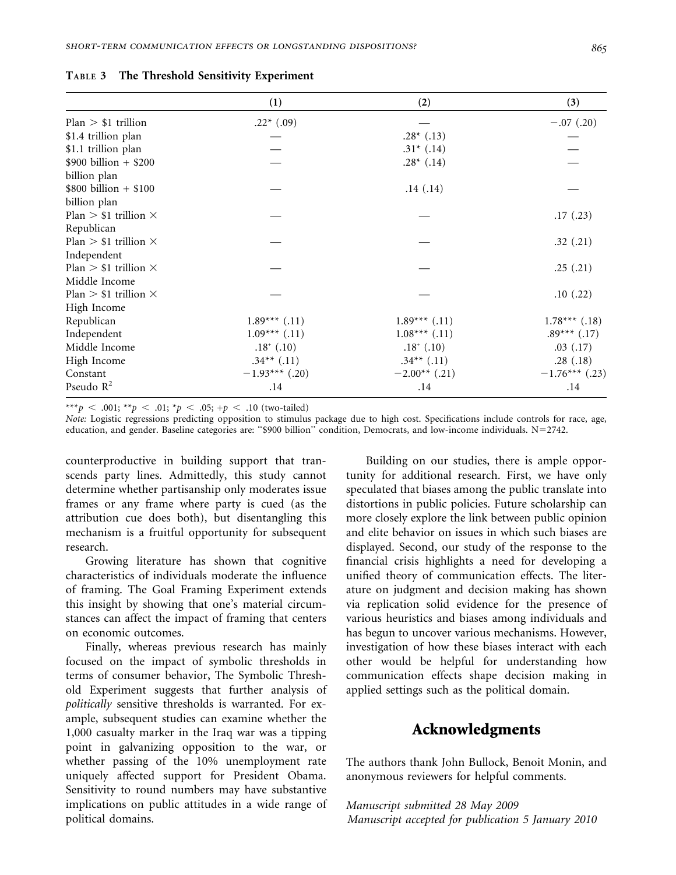|                                | (1)                 | (2)                 | (3)              |
|--------------------------------|---------------------|---------------------|------------------|
| $Plan > $1$ trillion           | $.22*(.09)$         |                     | $-.07(.20)$      |
| \$1.4 trillion plan            |                     | $.28*(.13)$         |                  |
| \$1.1 trillion plan            |                     | $.31^*$ (.14)       |                  |
| $$900 billion + $200$          |                     | $.28*(.14)$         |                  |
| billion plan                   |                     |                     |                  |
| $$800 billion + $100$          |                     | .14(.14)            |                  |
| billion plan                   |                     |                     |                  |
| Plan $>$ \$1 trillion $\times$ |                     |                     | .17(0.23)        |
| Republican                     |                     |                     |                  |
| Plan $>$ \$1 trillion $\times$ |                     |                     | .32(.21)         |
| Independent                    |                     |                     |                  |
| Plan $>$ \$1 trillion $\times$ |                     |                     | .25(.21)         |
| Middle Income                  |                     |                     |                  |
| Plan $>$ \$1 trillion $\times$ |                     |                     | .10(.22)         |
| High Income                    |                     |                     |                  |
| Republican                     | $1.89***$ (.11)     | $1.89***$ (.11)     | $1.78***$ (.18)  |
| Independent                    | $1.09***$ (.11)     | $1.08***$ (.11)     | $.89***$ (.17)   |
| Middle Income                  | $.18^{\circ}$ (.10) | $.18^{\circ}$ (.10) | .03(.17)         |
| High Income                    | $.34***$ (.11)      | $.34***$ $(.11)$    | .28(.18)         |
| Constant                       | $-1.93***$ (.20)    | $-2.00**$ (.21)     | $-1.76***$ (.23) |
| Pseudo $R^2$                   | .14                 | .14                 | .14              |

TABLE 3 The Threshold Sensitivity Experiment

\*\*\*p < .001; \*\*p < .01; \*p < .05; +p < .10 (two-tailed)

Note: Logistic regressions predicting opposition to stimulus package due to high cost. Specifications include controls for race, age, education, and gender. Baseline categories are: "\$900 billion" condition, Democrats, and low-income individuals. N=2742.

counterproductive in building support that transcends party lines. Admittedly, this study cannot determine whether partisanship only moderates issue frames or any frame where party is cued (as the attribution cue does both), but disentangling this mechanism is a fruitful opportunity for subsequent research.

Growing literature has shown that cognitive characteristics of individuals moderate the influence of framing. The Goal Framing Experiment extends this insight by showing that one's material circumstances can affect the impact of framing that centers on economic outcomes.

Finally, whereas previous research has mainly focused on the impact of symbolic thresholds in terms of consumer behavior, The Symbolic Threshold Experiment suggests that further analysis of politically sensitive thresholds is warranted. For example, subsequent studies can examine whether the 1,000 casualty marker in the Iraq war was a tipping point in galvanizing opposition to the war, or whether passing of the 10% unemployment rate uniquely affected support for President Obama. Sensitivity to round numbers may have substantive implications on public attitudes in a wide range of political domains.

Building on our studies, there is ample opportunity for additional research. First, we have only speculated that biases among the public translate into distortions in public policies. Future scholarship can more closely explore the link between public opinion and elite behavior on issues in which such biases are displayed. Second, our study of the response to the financial crisis highlights a need for developing a unified theory of communication effects. The literature on judgment and decision making has shown via replication solid evidence for the presence of various heuristics and biases among individuals and has begun to uncover various mechanisms. However, investigation of how these biases interact with each other would be helpful for understanding how communication effects shape decision making in applied settings such as the political domain.

## Acknowledgments

The authors thank John Bullock, Benoit Monin, and anonymous reviewers for helpful comments.

Manuscript submitted 28 May 2009 Manuscript accepted for publication 5 January 2010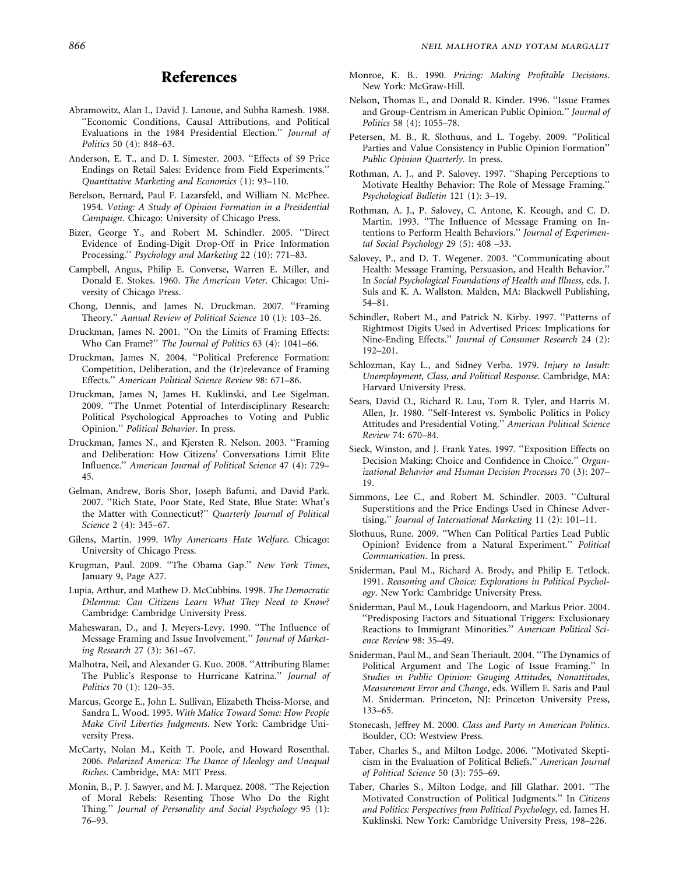## References

- Abramowitz, Alan I., David J. Lanoue, and Subha Ramesh. 1988. ''Economic Conditions, Causal Attributions, and Political Evaluations in the 1984 Presidential Election.'' Journal of Politics 50 (4): 848–63.
- Anderson, E. T., and D. I. Simester. 2003. ''Effects of \$9 Price Endings on Retail Sales: Evidence from Field Experiments.'' Quantitative Marketing and Economics (1): 93–110.
- Berelson, Bernard, Paul F. Lazarsfeld, and William N. McPhee. 1954. Voting: A Study of Opinion Formation in a Presidential Campaign. Chicago: University of Chicago Press.
- Bizer, George Y., and Robert M. Schindler. 2005. ''Direct Evidence of Ending-Digit Drop-Off in Price Information Processing.'' Psychology and Marketing 22 (10): 771–83.
- Campbell, Angus, Philip E. Converse, Warren E. Miller, and Donald E. Stokes. 1960. The American Voter. Chicago: University of Chicago Press.
- Chong, Dennis, and James N. Druckman. 2007. ''Framing Theory.'' Annual Review of Political Science 10 (1): 103–26.
- Druckman, James N. 2001. ''On the Limits of Framing Effects: Who Can Frame?'' The Journal of Politics 63 (4): 1041–66.
- Druckman, James N. 2004. ''Political Preference Formation: Competition, Deliberation, and the (Ir)relevance of Framing Effects.'' American Political Science Review 98: 671–86.
- Druckman, James N, James H. Kuklinski, and Lee Sigelman. 2009. ''The Unmet Potential of Interdisciplinary Research: Political Psychological Approaches to Voting and Public Opinion.'' Political Behavior. In press.
- Druckman, James N., and Kjersten R. Nelson. 2003. ''Framing and Deliberation: How Citizens' Conversations Limit Elite Influence.'' American Journal of Political Science 47 (4): 729– 45.
- Gelman, Andrew, Boris Shor, Joseph Bafumi, and David Park. 2007. ''Rich State, Poor State, Red State, Blue State: What's the Matter with Connecticut?'' Quarterly Journal of Political Science 2 (4): 345–67.
- Gilens, Martin. 1999. Why Americans Hate Welfare. Chicago: University of Chicago Press.
- Krugman, Paul. 2009. ''The Obama Gap.'' New York Times, January 9, Page A27.
- Lupia, Arthur, and Mathew D. McCubbins. 1998. The Democratic Dilemma: Can Citizens Learn What They Need to Know? Cambridge: Cambridge University Press.
- Maheswaran, D., and J. Meyers-Levy. 1990. ''The Influence of Message Framing and Issue Involvement.'' Journal of Marketing Research 27 (3): 361–67.
- Malhotra, Neil, and Alexander G. Kuo. 2008. ''Attributing Blame: The Public's Response to Hurricane Katrina.'' Journal of Politics 70 (1): 120–35.
- Marcus, George E., John L. Sullivan, Elizabeth Theiss-Morse, and Sandra L. Wood. 1995. With Malice Toward Some: How People Make Civil Liberties Judgments. New York: Cambridge University Press.
- McCarty, Nolan M., Keith T. Poole, and Howard Rosenthal. 2006. Polarized America: The Dance of Ideology and Unequal Riches. Cambridge, MA: MIT Press.
- Monin, B., P. J. Sawyer, and M. J. Marquez. 2008. ''The Rejection of Moral Rebels: Resenting Those Who Do the Right Thing.'' Journal of Personality and Social Psychology 95 (1): 76–93.
- Monroe, K. B.. 1990. Pricing: Making Profitable Decisions. New York: McGraw-Hill.
- Nelson, Thomas E., and Donald R. Kinder. 1996. ''Issue Frames and Group-Centrism in American Public Opinion.'' Journal of Politics 58 (4): 1055–78.
- Petersen, M. B., R. Slothuus, and L. Togeby. 2009. ''Political Parties and Value Consistency in Public Opinion Formation'' Public Opinion Quarterly. In press.
- Rothman, A. J., and P. Salovey. 1997. ''Shaping Perceptions to Motivate Healthy Behavior: The Role of Message Framing.'' Psychological Bulletin 121 (1): 3–19.
- Rothman, A. J., P. Salovey, C. Antone, K. Keough, and C. D. Martin. 1993. ''The Influence of Message Framing on Intentions to Perform Health Behaviors.'' Journal of Experimental Social Psychology 29 (5): 408 –33.
- Salovey, P., and D. T. Wegener. 2003. ''Communicating about Health: Message Framing, Persuasion, and Health Behavior.'' In Social Psychological Foundations of Health and Illness, eds. J. Suls and K. A. Wallston. Malden, MA: Blackwell Publishing, 54–81.
- Schindler, Robert M., and Patrick N. Kirby. 1997. ''Patterns of Rightmost Digits Used in Advertised Prices: Implications for Nine-Ending Effects.'' Journal of Consumer Research 24 (2): 192–201.
- Schlozman, Kay L., and Sidney Verba. 1979. Injury to Insult: Unemployment, Class, and Political Response. Cambridge, MA: Harvard University Press.
- Sears, David O., Richard R. Lau, Tom R. Tyler, and Harris M. Allen, Jr. 1980. ''Self-Interest vs. Symbolic Politics in Policy Attitudes and Presidential Voting.'' American Political Science Review 74: 670–84.
- Sieck, Winston, and J. Frank Yates. 1997. ''Exposition Effects on Decision Making: Choice and Confidence in Choice.'' Organizational Behavior and Human Decision Processes 70 (3): 207– 19.
- Simmons, Lee C., and Robert M. Schindler. 2003. ''Cultural Superstitions and the Price Endings Used in Chinese Advertising.'' Journal of International Marketing 11 (2): 101–11.
- Slothuus, Rune. 2009. ''When Can Political Parties Lead Public Opinion? Evidence from a Natural Experiment.'' Political Communication. In press.
- Sniderman, Paul M., Richard A. Brody, and Philip E. Tetlock. 1991. Reasoning and Choice: Explorations in Political Psychology. New York: Cambridge University Press.
- Sniderman, Paul M., Louk Hagendoorn, and Markus Prior. 2004. ''Predisposing Factors and Situational Triggers: Exclusionary Reactions to Immigrant Minorities.'' American Political Science Review 98: 35–49.
- Sniderman, Paul M., and Sean Theriault. 2004. ''The Dynamics of Political Argument and The Logic of Issue Framing.'' In Studies in Public Opinion: Gauging Attitudes, Nonattitudes, Measurement Error and Change, eds. Willem E. Saris and Paul M. Sniderman. Princeton, NJ: Princeton University Press, 133–65.
- Stonecash, Jeffrey M. 2000. Class and Party in American Politics. Boulder, CO: Westview Press.
- Taber, Charles S., and Milton Lodge. 2006. ''Motivated Skepticism in the Evaluation of Political Beliefs.'' American Journal of Political Science 50 (3): 755–69.
- Taber, Charles S., Milton Lodge, and Jill Glathar. 2001. ''The Motivated Construction of Political Judgments.'' In Citizens and Politics: Perspectives from Political Psychology, ed. James H. Kuklinski. New York: Cambridge University Press, 198–226.